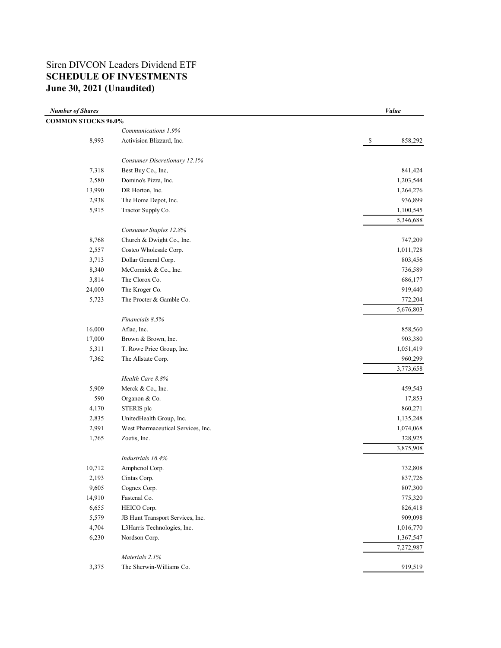# Siren DIVCON Leaders Dividend ETF **SCHEDULE OF INVESTMENTS June 30, 2021 (Unaudited)**

| <b>Number of Shares</b>    |                                    | Value         |
|----------------------------|------------------------------------|---------------|
| <b>COMMON STOCKS 96.0%</b> |                                    |               |
|                            | Communications 1.9%                |               |
| 8,993                      | Activision Blizzard, Inc.          | 858,292<br>\$ |
|                            | Consumer Discretionary 12.1%       |               |
| 7,318                      | Best Buy Co., Inc,                 | 841,424       |
| 2,580                      | Domino's Pizza, Inc.               | 1,203,544     |
| 13,990                     | DR Horton, Inc.                    | 1,264,276     |
| 2,938                      | The Home Depot, Inc.               | 936,899       |
| 5,915                      | Tractor Supply Co.                 | 1,100,545     |
|                            |                                    | 5,346,688     |
|                            | Consumer Staples 12.8%             |               |
| 8,768                      | Church & Dwight Co., Inc.          | 747,209       |
| 2,557                      | Costco Wholesale Corp.             | 1,011,728     |
| 3,713                      | Dollar General Corp.               | 803,456       |
| 8,340                      | McCormick & Co., Inc.              | 736,589       |
| 3,814                      | The Clorox Co.                     | 686,177       |
| 24,000                     | The Kroger Co.                     | 919,440       |
| 5,723                      | The Procter & Gamble Co.           | 772,204       |
|                            |                                    | 5,676,803     |
|                            | Financials 8.5%                    |               |
| 16,000                     | Aflac, Inc.                        | 858,560       |
| 17,000                     | Brown & Brown, Inc.                | 903,380       |
| 5,311                      | T. Rowe Price Group, Inc.          | 1,051,419     |
| 7,362                      | The Allstate Corp.                 | 960,299       |
|                            |                                    | 3,773,658     |
|                            | Health Care 8.8%                   |               |
| 5,909                      | Merck & Co., Inc.                  | 459,543       |
| 590                        | Organon & Co.                      | 17,853        |
| 4,170                      | STERIS plc                         | 860,271       |
| 2,835                      | UnitedHealth Group, Inc.           | 1,135,248     |
| 2,991                      | West Pharmaceutical Services, Inc. | 1,074,068     |
| 1,765                      | Zoetis, Inc.                       | 328,925       |
|                            | Industrials 16.4%                  | 3,875,908     |
| 10,712                     | Amphenol Corp.                     | 732,808       |
| 2,193                      | Cintas Corp.                       | 837,726       |
| 9,605                      | Cognex Corp.                       | 807,300       |
| 14,910                     | Fastenal Co.                       | 775,320       |
| 6,655                      | HEICO Corp.                        | 826,418       |
| 5,579                      | JB Hunt Transport Services, Inc.   | 909,098       |
| 4,704                      | L3Harris Technologies, Inc.        | 1,016,770     |
| 6,230                      | Nordson Corp.                      | 1,367,547     |
|                            |                                    | 7,272,987     |
|                            | Materials 2.1%                     |               |
| 3,375                      | The Sherwin-Williams Co.           | 919,519       |
|                            |                                    |               |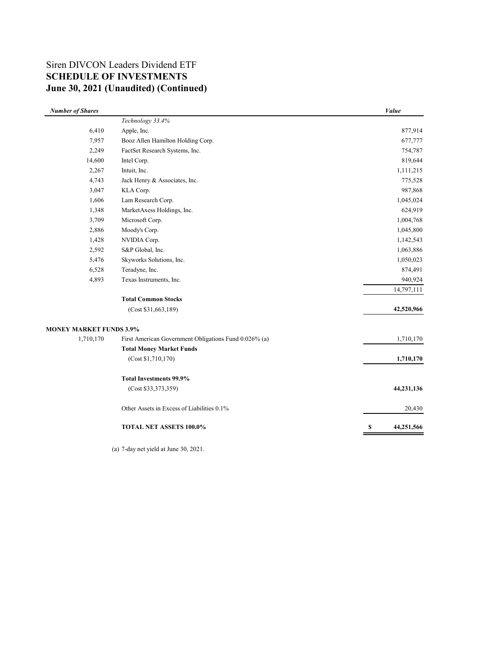# Siren DIVCON Leaders Dividend ETF **SCHEDULE OF INVESTMENTS June 30, 2021 (Unaudited) (Continued)**

| Technology 33.4%<br>6,410<br>Apple, Inc.<br>7,957<br>Booz Allen Hamilton Holding Corp.<br>2,249<br>FactSet Research Systems, Inc.<br>14,600<br>Intel Corp.<br>2,267<br>Intuit, Inc.<br>4,743<br>Jack Henry & Associates, Inc.<br>3,047<br>KLA Corp.<br>Lam Research Corp.<br>1,606<br>MarketAxess Holdings, Inc.<br>1,348<br>3,709<br>Microsoft Corp.<br>2,886<br>Moody's Corp.<br>1,428<br>NVIDIA Corp.<br>2,592<br>S&P Global, Inc.<br>Skyworks Solutions, Inc.<br>5,476<br>6,528<br>Teradyne, Inc.<br>4,893<br>Texas Instruments, Inc.<br><b>Total Common Stocks</b><br>(Cost \$31,663,189)<br><b>MONEY MARKET FUNDS 3.9%</b><br>1,710,170<br>First American Government Obligations Fund 0.026% (a)<br><b>Total Money Market Funds</b><br>(Cost \$1,710,170)<br><b>Total Investments 99.9%</b><br>(Cost \$33,373,359) | <b>Number of Shares</b> |                                            | Value      |
|--------------------------------------------------------------------------------------------------------------------------------------------------------------------------------------------------------------------------------------------------------------------------------------------------------------------------------------------------------------------------------------------------------------------------------------------------------------------------------------------------------------------------------------------------------------------------------------------------------------------------------------------------------------------------------------------------------------------------------------------------------------------------------------------------------------------------|-------------------------|--------------------------------------------|------------|
|                                                                                                                                                                                                                                                                                                                                                                                                                                                                                                                                                                                                                                                                                                                                                                                                                          |                         |                                            |            |
|                                                                                                                                                                                                                                                                                                                                                                                                                                                                                                                                                                                                                                                                                                                                                                                                                          |                         |                                            | 877,914    |
|                                                                                                                                                                                                                                                                                                                                                                                                                                                                                                                                                                                                                                                                                                                                                                                                                          |                         |                                            | 677,777    |
|                                                                                                                                                                                                                                                                                                                                                                                                                                                                                                                                                                                                                                                                                                                                                                                                                          |                         |                                            | 754,787    |
|                                                                                                                                                                                                                                                                                                                                                                                                                                                                                                                                                                                                                                                                                                                                                                                                                          |                         |                                            | 819,644    |
|                                                                                                                                                                                                                                                                                                                                                                                                                                                                                                                                                                                                                                                                                                                                                                                                                          |                         |                                            | 1,111,215  |
|                                                                                                                                                                                                                                                                                                                                                                                                                                                                                                                                                                                                                                                                                                                                                                                                                          |                         |                                            | 775,528    |
|                                                                                                                                                                                                                                                                                                                                                                                                                                                                                                                                                                                                                                                                                                                                                                                                                          |                         |                                            | 987,868    |
|                                                                                                                                                                                                                                                                                                                                                                                                                                                                                                                                                                                                                                                                                                                                                                                                                          |                         |                                            | 1,045,024  |
|                                                                                                                                                                                                                                                                                                                                                                                                                                                                                                                                                                                                                                                                                                                                                                                                                          |                         |                                            | 624,919    |
|                                                                                                                                                                                                                                                                                                                                                                                                                                                                                                                                                                                                                                                                                                                                                                                                                          |                         |                                            | 1,004,768  |
|                                                                                                                                                                                                                                                                                                                                                                                                                                                                                                                                                                                                                                                                                                                                                                                                                          |                         |                                            | 1,045,800  |
|                                                                                                                                                                                                                                                                                                                                                                                                                                                                                                                                                                                                                                                                                                                                                                                                                          |                         |                                            | 1,142,543  |
|                                                                                                                                                                                                                                                                                                                                                                                                                                                                                                                                                                                                                                                                                                                                                                                                                          |                         |                                            | 1,063,886  |
|                                                                                                                                                                                                                                                                                                                                                                                                                                                                                                                                                                                                                                                                                                                                                                                                                          |                         |                                            | 1,050,023  |
|                                                                                                                                                                                                                                                                                                                                                                                                                                                                                                                                                                                                                                                                                                                                                                                                                          |                         |                                            | 874,491    |
|                                                                                                                                                                                                                                                                                                                                                                                                                                                                                                                                                                                                                                                                                                                                                                                                                          |                         |                                            | 940,924    |
|                                                                                                                                                                                                                                                                                                                                                                                                                                                                                                                                                                                                                                                                                                                                                                                                                          |                         |                                            | 14,797,111 |
|                                                                                                                                                                                                                                                                                                                                                                                                                                                                                                                                                                                                                                                                                                                                                                                                                          |                         |                                            |            |
|                                                                                                                                                                                                                                                                                                                                                                                                                                                                                                                                                                                                                                                                                                                                                                                                                          |                         |                                            | 42,520,966 |
|                                                                                                                                                                                                                                                                                                                                                                                                                                                                                                                                                                                                                                                                                                                                                                                                                          |                         |                                            |            |
|                                                                                                                                                                                                                                                                                                                                                                                                                                                                                                                                                                                                                                                                                                                                                                                                                          |                         |                                            | 1,710,170  |
|                                                                                                                                                                                                                                                                                                                                                                                                                                                                                                                                                                                                                                                                                                                                                                                                                          |                         |                                            |            |
|                                                                                                                                                                                                                                                                                                                                                                                                                                                                                                                                                                                                                                                                                                                                                                                                                          |                         |                                            | 1,710,170  |
|                                                                                                                                                                                                                                                                                                                                                                                                                                                                                                                                                                                                                                                                                                                                                                                                                          |                         |                                            |            |
|                                                                                                                                                                                                                                                                                                                                                                                                                                                                                                                                                                                                                                                                                                                                                                                                                          |                         |                                            | 44,231,136 |
|                                                                                                                                                                                                                                                                                                                                                                                                                                                                                                                                                                                                                                                                                                                                                                                                                          |                         | Other Assets in Excess of Liabilities 0.1% | 20,430     |
| TOTAL NET ASSETS 100.0%<br>S                                                                                                                                                                                                                                                                                                                                                                                                                                                                                                                                                                                                                                                                                                                                                                                             |                         |                                            | 44,251,566 |

(a) 7-day net yield at June 30, 2021.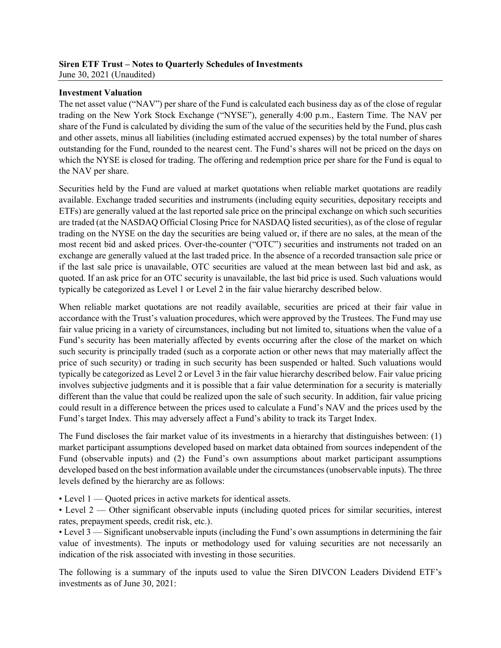### **Siren ETF Trust – Notes to Quarterly Schedules of Investments** June 30, 2021 (Unaudited)

### **Investment Valuation**

The net asset value ("NAV") per share of the Fund is calculated each business day as of the close of regular trading on the New York Stock Exchange ("NYSE"), generally 4:00 p.m., Eastern Time. The NAV per share of the Fund is calculated by dividing the sum of the value of the securities held by the Fund, plus cash and other assets, minus all liabilities (including estimated accrued expenses) by the total number of shares outstanding for the Fund, rounded to the nearest cent. The Fund's shares will not be priced on the days on which the NYSE is closed for trading. The offering and redemption price per share for the Fund is equal to the NAV per share.

Securities held by the Fund are valued at market quotations when reliable market quotations are readily available. Exchange traded securities and instruments (including equity securities, depositary receipts and ETFs) are generally valued at the last reported sale price on the principal exchange on which such securities are traded (at the NASDAQ Official Closing Price for NASDAQ listed securities), as of the close of regular trading on the NYSE on the day the securities are being valued or, if there are no sales, at the mean of the most recent bid and asked prices. Over-the-counter ("OTC") securities and instruments not traded on an exchange are generally valued at the last traded price. In the absence of a recorded transaction sale price or if the last sale price is unavailable, OTC securities are valued at the mean between last bid and ask, as quoted. If an ask price for an OTC security is unavailable, the last bid price is used. Such valuations would typically be categorized as Level 1 or Level 2 in the fair value hierarchy described below.

When reliable market quotations are not readily available, securities are priced at their fair value in accordance with the Trust's valuation procedures, which were approved by the Trustees. The Fund may use fair value pricing in a variety of circumstances, including but not limited to, situations when the value of a Fund's security has been materially affected by events occurring after the close of the market on which such security is principally traded (such as a corporate action or other news that may materially affect the price of such security) or trading in such security has been suspended or halted. Such valuations would typically be categorized as Level 2 or Level 3 in the fair value hierarchy described below. Fair value pricing involves subjective judgments and it is possible that a fair value determination for a security is materially different than the value that could be realized upon the sale of such security. In addition, fair value pricing could result in a difference between the prices used to calculate a Fund's NAV and the prices used by the Fund's target Index. This may adversely affect a Fund's ability to track its Target Index.

The Fund discloses the fair market value of its investments in a hierarchy that distinguishes between: (1) market participant assumptions developed based on market data obtained from sources independent of the Fund (observable inputs) and (2) the Fund's own assumptions about market participant assumptions developed based on the best information available under the circumstances (unobservable inputs). The three levels defined by the hierarchy are as follows:

• Level 1 — Quoted prices in active markets for identical assets.

• Level 2 — Other significant observable inputs (including quoted prices for similar securities, interest rates, prepayment speeds, credit risk, etc.).

• Level 3 — Significant unobservable inputs (including the Fund's own assumptions in determining the fair value of investments). The inputs or methodology used for valuing securities are not necessarily an indication of the risk associated with investing in those securities.

The following is a summary of the inputs used to value the Siren DIVCON Leaders Dividend ETF's investments as of June 30, 2021: